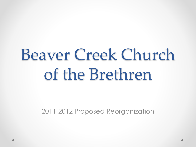## Beaver Creek Church of the Brethren

2011-2012 Proposed Reorganization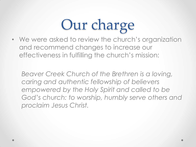### Our charge

• We were asked to review the church's organization and recommend changes to increase our effectiveness in fulfilling the church's mission:

*Beaver Creek Church of the Brethren is a loving, caring and authentic fellowship of believers empowered by the Holy Spirit and called to be God's church: to worship, humbly serve others and proclaim Jesus Christ.*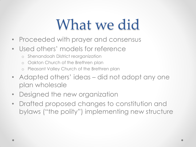### What we did

- Proceeded with prayer and consensus
- Used others' models for reference
	- o Shenandoah District reorganization
	- o Oakton Church of the Brethren plan
	- o Pleasant Valley Church of the Brethren plan
- Adapted others' ideas did not adopt any one plan wholesale
- Designed the new organization
- Drafted proposed changes to constitution and bylaws ("the polity") implementing new structure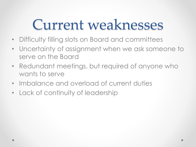### Current weaknesses

- Difficulty filling slots on Board and committees
- Uncertainty of assignment when we ask someone to serve on the Board
- Redundant meetings, but required of anyone who wants to serve
- Imbalance and overload of current duties
- Lack of continuity of leadership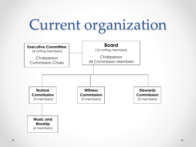## Current organization

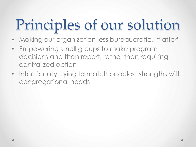## Principles of our solution

- Making our organization less bureaucratic, "flatter"
- Empowering small groups to make program decisions and then report, rather than requiring centralized action
- Intentionally trying to match peoples' strengths with congregational needs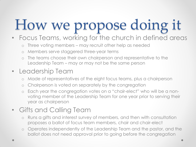# How we propose doing it

### • Focus Teams, working for the church in defined areas

- o Three voting members may recruit other help as needed
- o Members serve staggered three-year terms
- o The teams choose their own chairperson and representative to the Leadership Team – may or may not be the same person

### • Leadership Team

- o Made of representatives of the eight focus teams, plus a chairperson
- o Chairperson is voted on separately by the congregation
- o Each year the congregation votes on a "chair-elect" who will be a nonvoting member of the Leadership Team for one year prior to serving their year as chairperson

### • Gifts and Calling Team

- o Runs a gifts and interest survey of members, and then with consultation proposes a ballot of focus team members, chair and chair-elect
- o Operates independently of the Leadership Team and the pastor, and the ballot does not need approval prior to going before the congregation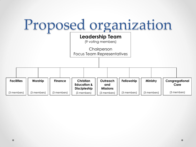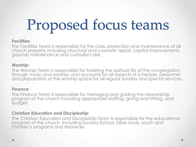# Proposed focus teams

#### **Facilities**:

The Facilities Team is responsible for the care, protection and maintenance of all church property including structural and cosmetic repair, capital improvements, grounds maintenance and custodial care.

#### **Worship**:

The Worship Team is responsible for fostering the spiritual life of the congregation through music and worship, and accounts for all aspects of schedule, personnel and preparation of the worship space for all regular Sunday and special services.

#### **Finance**:

The Finance Team is responsible for managing and guiding the stewardship program of the church including appropriate staffing, giving and tithing, and budget.

#### **Christian Education and Discipleship**:

The Christian Education and Discipleship Team is responsible for the educational program of the church, including Sunday School, bible study, youth and children's programs and resources.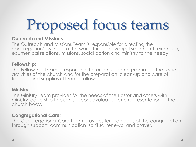# Proposed focus teams

#### **Outreach and Missions**:

The Outreach and Missions Team is responsible for directing the congregation's witness to the world through evangelism, church extension, ecumenical relations, missions, social action and ministry to the needy.

#### **Fellowship**:

The Fellowship Team is responsible for organizing and promoting the social activities of the church and for the preparation, clean-up and care of facilities and supplies utilized in fellowship.

#### **Ministry**:

The Ministry Team provides for the needs of the Pastor and others with ministry leadership through support, evaluation and representation to the church body.

#### **Congregational Care**:

The Congregational Care Team provides for the needs of the congregation through support, communication, spiritual renewal and prayer.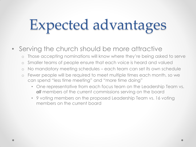## Expected advantages

- Serving the church should be more attractive
	- o Those accepting nominations will know where they're being asked to serve
	- o Smaller teams of people ensure that each voice is heard and valued
	- o No mandatory meeting schedules each team can set its own schedule
	- o Fewer people will be required to meet multiple times each month, so we can spend "less time meeting" and "more time doing"
		- One representative from each focus team on the Leadership Team vs. *all* members of the current commissions serving on the board
		- 9 voting members on the proposed Leadership Team vs. 16 voting members on the current board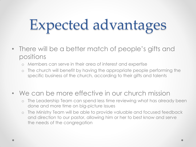# Expected advantages

- There will be a better match of people's gifts and positions
	- o Members can serve in their area of interest and expertise
	- o The church will benefit by having the appropriate people performing the specific business of the church, according to their gifts and talents
- We can be more effective in our church mission
	- o The Leadership Team can spend less time reviewing what has already been done and more time on big-picture issues
	- o The Ministry Team will be able to provide valuable and focused feedback and direction to our pastor, allowing him or her to best know and serve the needs of the congregation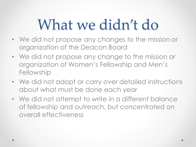### What we didn't do

- We did not propose any changes to the mission or organization of the Deacon Board
- We did not propose any change to the mission or organization of Women's Fellowship and Men's **Fellowship**
- We did not adopt or carry over detailed instructions about what must be done each year
- We did not attempt to write in a different balance of fellowship and outreach, but concentrated on overall effectiveness